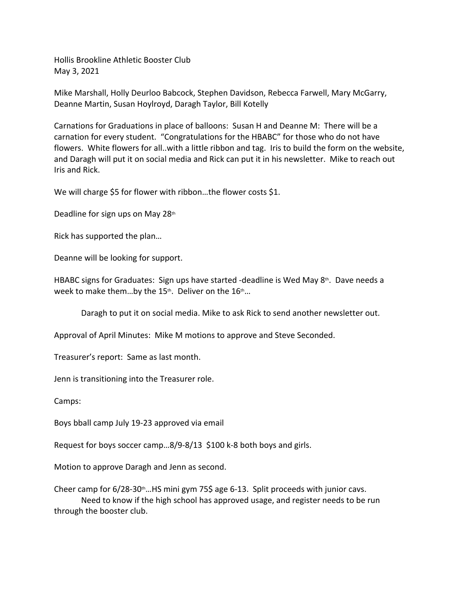Hollis Brookline Athletic Booster Club May 3, 2021

Mike Marshall, Holly Deurloo Babcock, Stephen Davidson, Rebecca Farwell, Mary McGarry, Deanne Martin, Susan Hoylroyd, Daragh Taylor, Bill Kotelly

Carnations for Graduations in place of balloons: Susan H and Deanne M: There will be a carnation for every student. "Congratulations for the HBABC" for those who do not have flowers. White flowers for all..with a little ribbon and tag. Iris to build the form on the website, and Daragh will put it on social media and Rick can put it in his newsletter. Mike to reach out Iris and Rick.

We will charge \$5 for flower with ribbon...the flower costs \$1.

Deadline for sign ups on May 28<sup>th</sup>

Rick has supported the plan…

Deanne will be looking for support.

HBABC signs for Graduates: Sign ups have started -deadline is Wed May 8<sup>th</sup>. Dave needs a week to make them...by the 15<sup>th</sup>. Deliver on the  $16t$ <sup>th</sup>...

Daragh to put it on social media. Mike to ask Rick to send another newsletter out.

Approval of April Minutes: Mike M motions to approve and Steve Seconded.

Treasurer's report: Same as last month.

Jenn is transitioning into the Treasurer role.

Camps:

Boys bball camp July 19-23 approved via email

Request for boys soccer camp…8/9-8/13 \$100 k-8 both boys and girls.

Motion to approve Daragh and Jenn as second.

Cheer camp for  $6/28-30$ th...HS mini gym 75\$ age 6-13. Split proceeds with junior cavs. Need to know if the high school has approved usage, and register needs to be run through the booster club.